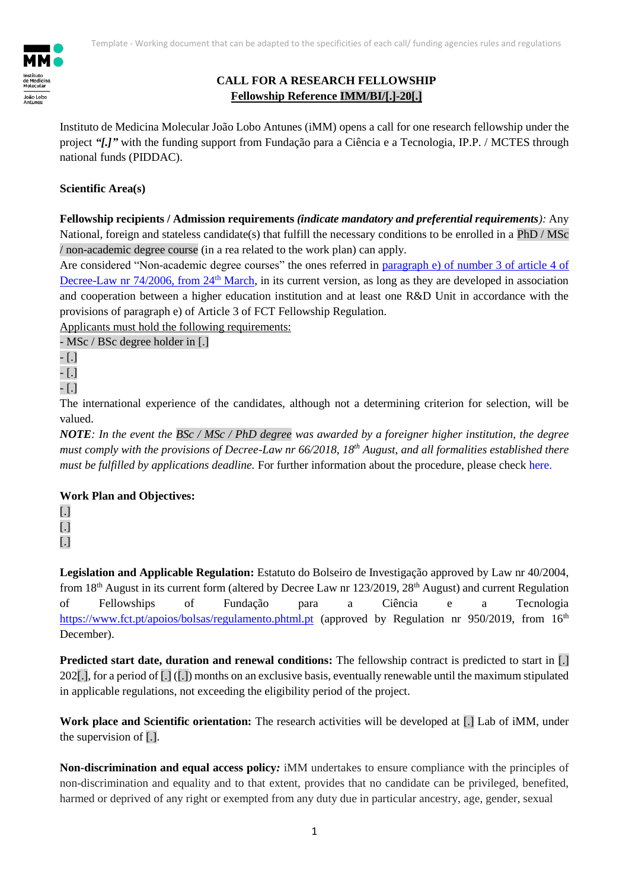

## **CALL FOR A RESEARCH FELLOWSHIP Fellowship Reference IMM/BI/[.]-20[.]**

Instituto de Medicina Molecular João Lobo Antunes (iMM) opens a call for one research fellowship under the project *"[.]"* with the funding support from Fundação para a Ciência e a Tecnologia, IP.P. / MCTES through national funds (PIDDAC).

## **Scientific Area(s)**

**Fellowship recipients / Admission requirements** *(indicate mandatory and preferential requirements):* Any National, foreign and stateless candidate(s) that fulfill the necessary conditions to be enrolled in a PhD / MSc / non-academic degree course (in a rea related to the work plan) can apply.

Are considered "Non-academic degree courses" the ones referred in paragraph e) [of number 3 of article 4 of](https://dre.pt/web/guest/legislacao-consolidada/-/lc/122033591/202004021256/73697372/diploma/indice?q=Decreto-Lei+n.%C2%BA74%2F2006)  [Decree-Law nr 74/2006, from 24](https://dre.pt/web/guest/legislacao-consolidada/-/lc/122033591/202004021256/73697372/diploma/indice?q=Decreto-Lei+n.%C2%BA74%2F2006)<sup>th</sup> March, in its current version, as long as they are developed in association and cooperation between a higher education institution and at least one R&D Unit in accordance with the provisions of paragraph e) of Article 3 of FCT Fellowship Regulation.

Applicants must hold the following requirements:

- MSc / BSc degree holder in [.]

*-* [.]

*-* [.]

*-* [.]

The international experience of the candidates, although not a determining criterion for selection, will be valued.

*NOTE: In the event the BSc / MSc / PhD degree was awarded by a foreigner higher institution, the degree must comply with the provisions of Decree-Law nr 66/2018, 18th August, and all formalities established there must be fulfilled by applications deadline.* For further information about the procedure, please check [here.](https://www.dges.gov.pt/pt/pagina/reconhecimento?plid=374)

## **Work Plan and Objectives:**

[.] [.]

[.]

**Legislation and Applicable Regulation:** Estatuto do Bolseiro de Investigação approved by Law nr 40/2004, from  $18<sup>th</sup>$  August in its current form (altered by Decree Law nr 123/2019, 28<sup>th</sup> August) and current Regulation of Fellowships of Fundação para a Ciência e a Tecnologia <https://www.fct.pt/apoios/bolsas/regulamento.phtml.pt> (approved by Regulation nr 950/2019, from 16<sup>th</sup> December).

**Predicted start date, duration and renewal conditions:** The fellowship contract is predicted to start in [.] 202[.], for a period of  $\overline{L}$ ]  $(\overline{L})$  months on an exclusive basis, eventually renewable until the maximum stipulated in applicable regulations, not exceeding the eligibility period of the project.

Work place and Scientific orientation: The research activities will be developed at [.] Lab of iMM, under the supervision of [.].

**Non-discrimination and equal access policy***:* iMM undertakes to ensure compliance with the principles of non-discrimination and equality and to that extent, provides that no candidate can be privileged, benefited, harmed or deprived of any right or exempted from any duty due in particular ancestry, age, gender, sexual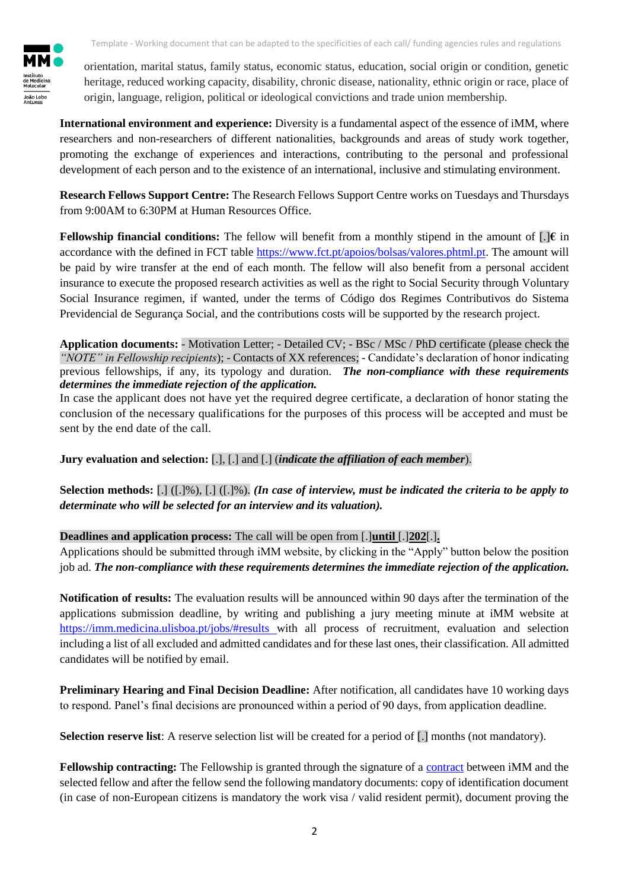orientation, marital status, family status, economic status, education, social origin or condition, genetic heritage, reduced working capacity, disability, chronic disease, nationality, ethnic origin or race, place of origin, language, religion, political or ideological convictions and trade union membership.

**International environment and experience:** Diversity is a fundamental aspect of the essence of iMM, where researchers and non-researchers of different nationalities, backgrounds and areas of study work together, promoting the exchange of experiences and interactions, contributing to the personal and professional development of each person and to the existence of an international, inclusive and stimulating environment.

**Research Fellows Support Centre:** The Research Fellows Support Centre works on Tuesdays and Thursdays from 9:00AM to 6:30PM at Human Resources Office.

**Fellowship financial conditions:** The fellow will benefit from a monthly stipend in the amount of  $[.]\epsilon$  in accordance with the defined in FCT table [https://www.fct.pt/apoios/bolsas/valores.phtml.pt.](https://www.fct.pt/apoios/bolsas/valores.phtml.pt) The amount will be paid by wire transfer at the end of each month. The fellow will also benefit from a personal accident insurance to execute the proposed research activities as well as the right to Social Security through Voluntary Social Insurance regimen, if wanted, under the terms of Código dos Regimes Contributivos do Sistema Previdencial de Segurança Social, and the contributions costs will be supported by the research project.

**Application documents:** - Motivation Letter; - Detailed CV; - BSc / MSc / PhD certificate (please check the *"NOTE" in Fellowship recipients*); - Contacts of XX references; - Candidate's declaration of honor indicating previous fellowships, if any, its typology and duration. *The non-compliance with these requirements determines the immediate rejection of the application.*

In case the applicant does not have yet the required degree certificate, a declaration of honor stating the conclusion of the necessary qualifications for the purposes of this process will be accepted and must be sent by the end date of the call.

**Jury evaluation and selection:** [.], [.] and [.] (*indicate the affiliation of each member*).

**Selection methods:** [.] ([.]%), [.] ([.]%). *(In case of interview, must be indicated the criteria to be apply to determinate who will be selected for an interview and its valuation).* 

**Deadlines and application process:** The call will be open from [.]**until** [.]**202**[.]**.** 

Applications should be submitted through iMM website, by clicking in the "Apply" button below the position job ad. *The non-compliance with these requirements determines the immediate rejection of the application.*

**Notification of results:** The evaluation results will be announced within 90 days after the termination of the applications submission deadline, by writing and publishing a jury meeting minute at iMM website at <https://imm.medicina.ulisboa.pt/jobs/#results> with all process of recruitment, evaluation and selection including a list of all excluded and admitted candidates and for these last ones, their classification. All admitted candidates will be notified by email.

**Preliminary Hearing and Final Decision Deadline:** After notification, all candidates have 10 working days to respond. Panel's final decisions are pronounced within a period of 90 days, from application deadline.

**Selection reserve list:** A reserve selection list will be created for a period of [.] months (not mandatory).

**Fellowship [contract](https://drive.google.com/file/d/1EPGycVThZMkypuQIyCHljuzVBgCFI4fR/view?usp=sharing)ing:** The Fellowship is granted through the signature of a contract between iMM and the selected fellow and after the fellow send the following mandatory documents: copy of identification document (in case of non-European citizens is mandatory the work visa / valid resident permit), document proving the